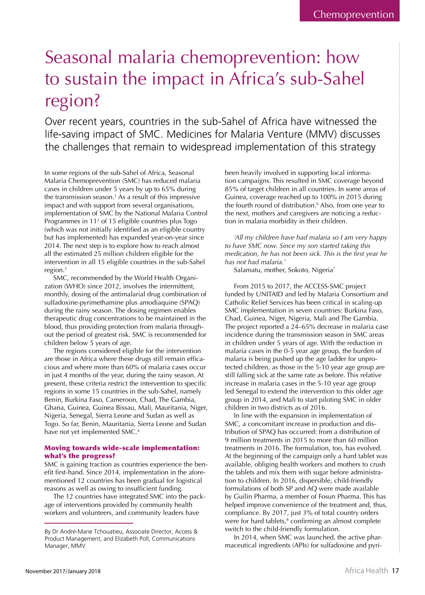# Seasonal malaria chemoprevention: how to sustain the impact in Africa's sub-Sahel region?

Over recent years, countries in the sub-Sahel of Africa have witnessed the life-saving impact of SMC. Medicines for Malaria Venture (MMV) discusses the challenges that remain to widespread implementation of this strategy

In some regions of the sub-Sahel of Africa, Seasonal Malaria Chemoprevention (SMC) has reduced malaria cases in children under 5 years by up to 65% during the transmission season.<sup>1</sup> As a result of this impressive impact and with support from several organisations, implementation of SMC by the National Malaria Control Programmes in 11<sup>2</sup> of 15 eligible countries plus Togo (which was not initially identified as an eligible country but has implemented) has expanded year-on-year since 2014. The next step is to explore how to reach almost all the estimated 25 million children eligible for the intervention in all 15 eligible countries in the sub-Sahel region. $3$ 

SMC, recommended by the World Health Organization (WHO) since 2012, involves the intermittent, monthly, dosing of the antimalarial drug combination of sulfadoxine-pyrimethamine plus amodiaquine (SPAQ) during the rainy season. The dosing regimen enables therapeutic drug concentrations to be maintained in the blood, thus providing protection from malaria throughout the period of greatest risk. SMC is recommended for children below 5 years of age.

The regions considered eligible for the intervention are those in Africa where these drugs still remain efficacious and where more than 60% of malaria cases occur in just 4 months of the year, during the rainy season. At present, these criteria restrict the intervention to specific regions in some 15 countries in the sub-Sahel, namely Benin, Burkina Faso, Cameroon, Chad, The Gambia, Ghana, Guinea, Guinea Bissau, Mali, Mauritania, Niger, Nigeria, Senegal, Sierra Leone and Sudan as well as Togo. So far, Benin, Mauritania, Sierra Leone and Sudan have not yet implemented SMC.<sup>4</sup>

### **Moving towards wide-scale implementation:** what's the progress?

SMC is gaining traction as countries experience the benefit first-hand. Since 2014, implementation in the aforementioned 12 countries has been gradual for logistical reasons as well as owing to insufficient funding.

The 12 countries have integrated SMC into the package of interventions provided by community health workers and volunteers, and community leaders have

been heavily involved in supporting local information campaigns. This resulted in SMC coverage beyond 85% of target children in all countries. In some areas of Guinea, coverage reached up to 100% in 2015 during the fourth round of distribution.<sup>6</sup> Also, from one year to the next, mothers and caregivers are noticing a reduction in malaria morbidity in their children.

'All my children have had malaria so I am very happy to have SMC now. Since my son started taking this medication, he has not been sick. This is the first year he has not had malaria.'

Salamatu, mother, Sokoto, Nigeria<sup>7</sup>

From 2015 to 2017, the ACCESS-SMC project funded by UNITAID and led by Malaria Consortium and Catholic Relief Services has been critical in scaling-up SMC implementation in seven countries: Burkina Faso, Chad, Guinea, Niger, Nigeria, Mali and The Gambia. The project reported a 24–65% decrease in malaria case incidence during the transmission season in SMC areas in children under 5 years of age. With the reduction in malaria cases in the 0-5 year age group, the burden of malaria is being pushed up the age ladder for unprotected children, as those in the 5-10 year age group are still falling sick at the same rate as before. This relative increase in malaria cases in the 5-10 year age group led Senegal to extend the intervention to this older age group in 2014, and Mali to start piloting SMC in older children in two districts as of 2016.

In line with the expansion in implementation of SMC, a concomitant increase in production and distribution of SPAQ has occurred: from a distribution of 9 million treatments in 2015 to more than 60 million treatments in 2016. The formulation, too, has evolved. At the beginning of the campaign only a hard tablet was available, obliging health workers and mothers to crush the tablets and mix them with sugar before administration to children. In 2016, dispersible, child-friendly formulations of both SP and AQ were made available by Guilin Pharma, a member of Fosun Pharma. This has helped improve convenience of the treatment and, thus, compliance. By 2017, just 3% of total country orders were for hard tablets,<sup>8</sup> confirming an almost complete switch to the child-friendly formulation.

In 2014, when SMC was launched, the active pharmaceutical ingredients (APIs) for sulfadoxine and pyri-

By Dr André-Marie Tchouatieu, Associate Director, Access & Product Management, and Elizabeth Poll, Communications Manager, MMV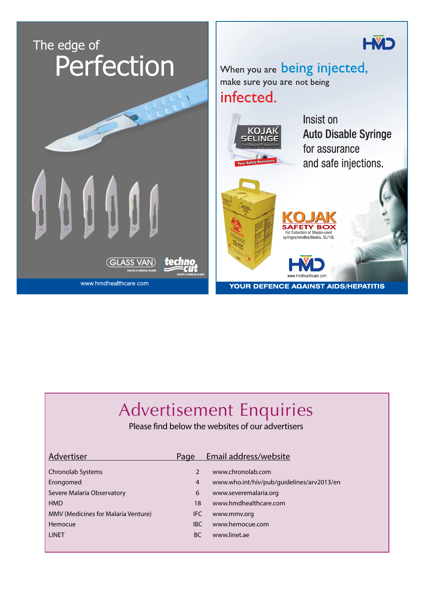

# Advertisement Enquiries

Please find below the websites of our advertisers

| Email address/website                     |
|-------------------------------------------|
|                                           |
| www.chronolab.com                         |
| www.who.int/hiv/pub/guidelines/arv2013/en |
| www.severemalaria.org                     |
| www.hmdhealthcare.com                     |
| www.mmv.org                               |
| www.hemocue.com                           |
| www.linet.ae                              |
| IFC<br><b>IBC</b>                         |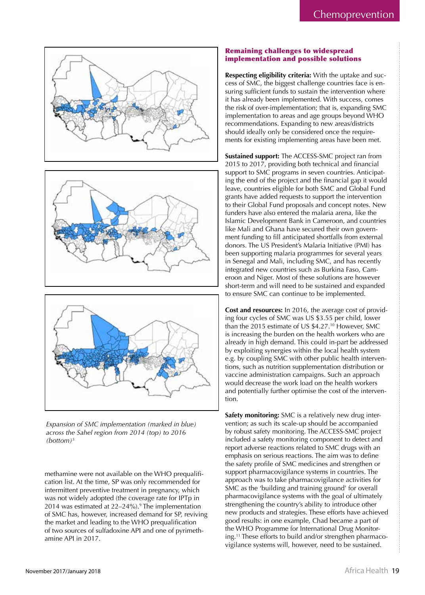





Expansion of SMC implementation (marked in blue) across the Sahel region from 2014 (top) to 2016  $(bottom)^5$ 

methamine were not available on the WHO prequalification list. At the time, SP was only recommended for intermittent preventive treatment in pregnancy, which was not widely adopted (the coverage rate for IPTp in 2014 was estimated at 22-24%).<sup>9</sup> The implementation of SMC has, however, increased demand for SP, reviving the market and leading to the WHO prequalification of two sources of sulfadoxine API and one of pyrimethamine API in 2017.

# **Remaining challenges to widespread** implementation and possible solutions

Respecting eligibility criteria: With the uptake and success of SMC, the biggest challenge countries face is ensuring sufficient funds to sustain the intervention where it has already been implemented. With success, comes the risk of over-implementation; that is, expanding SMC implementation to areas and age groups beyond WHO recommendations. Expanding to new areas/districts should ideally only be considered once the requirements for existing implementing areas have been met.

Sustained support: The ACCESS-SMC project ran from 2015 to 2017, providing both technical and financial support to SMC programs in seven countries. Anticipating the end of the project and the financial gap it would leave, countries eligible for both SMC and Global Fund grants have added requests to support the intervention to their Global Fund proposals and concept notes. New funders have also entered the malaria arena, like the Islamic Development Bank in Cameroon, and countries like Mali and Ghana have secured their own government funding to fill anticipated shortfalls from external donors. The US President's Malaria Initiative (PMI) has been supporting malaria programmes for several years in Senegal and Mali, including SMC, and has recently integrated new countries such as Burkina Faso, Cameroon and Niger. Most of these solutions are however short-term and will need to be sustained and expanded to ensure SMC can continue to be implemented.

Cost and resources: In 2016, the average cost of providing four cycles of SMC was US \$3.55 per child, lower than the 2015 estimate of US \$4.27.<sup>10</sup> However, SMC is increasing the burden on the health workers who are already in high demand. This could in-part be addressed by exploiting synergies within the local health system e.g. by coupling SMC with other public health interventions, such as nutrition supplementation distribution or vaccine administration campaigns. Such an approach would decrease the work load on the health workers and potentially further optimise the cost of the intervention.

Safety monitoring: SMC is a relatively new drug intervention; as such its scale-up should be accompanied by robust safety monitoring. The ACCESS-SMC project included a safety monitoring component to detect and report adverse reactions related to SMC drugs with an emphasis on serious reactions. The aim was to define the safety profile of SMC medicines and strengthen or support pharmacovigilance systems in countries. The approach was to take pharmacovigilance activities for SMC as the 'building and training ground' for overall pharmacovigilance systems with the goal of ultimately strengthening the country's ability to introduce other new products and strategies. These efforts have achieved good results: in one example, Chad became a part of the WHO Programme for International Drug Monitoring.<sup>11</sup> These efforts to build and/or strengthen pharmacovigilance systems will, however, need to be sustained.